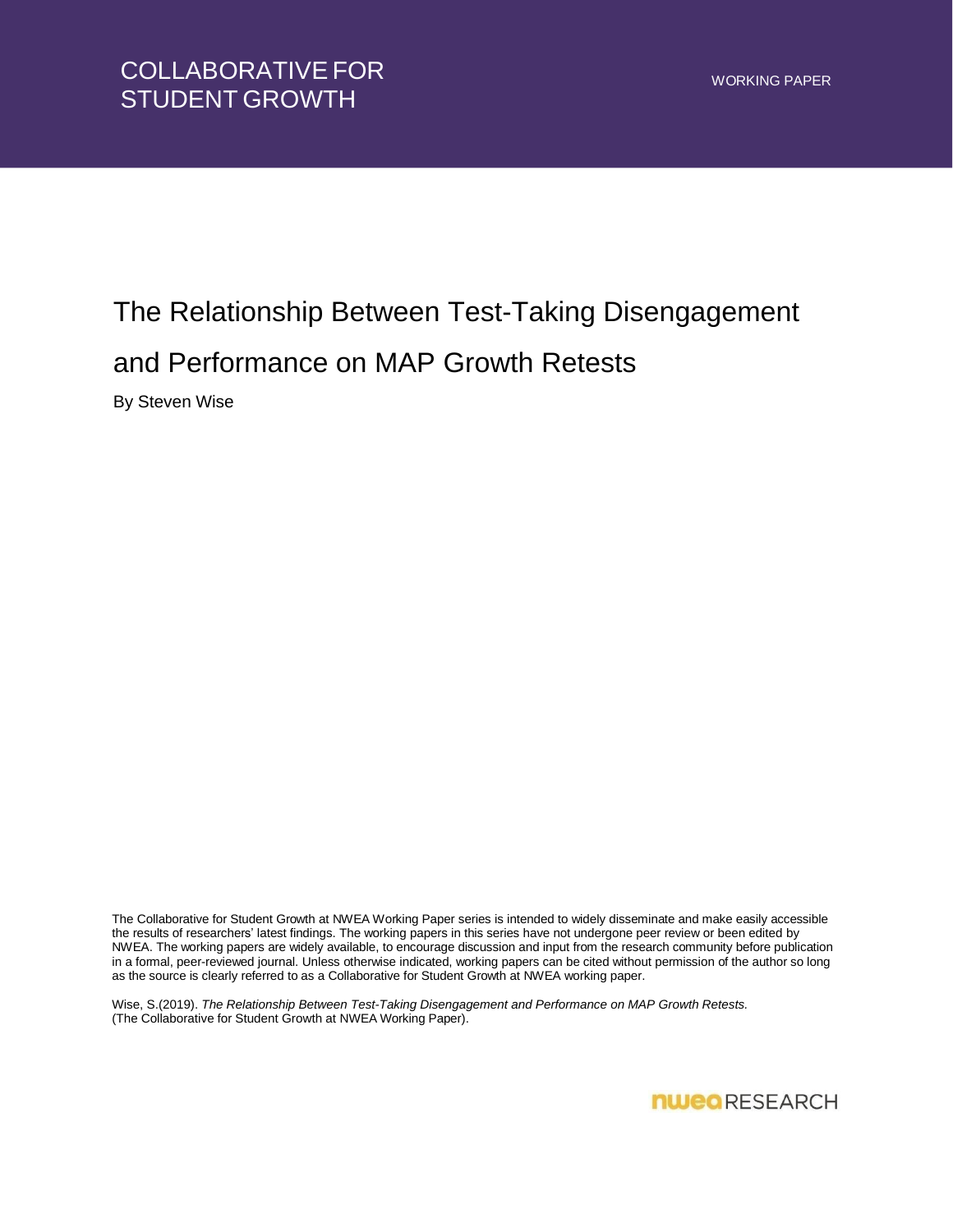# The Relationship Between Test-Taking Disengagement and Performance on MAP Growth Retests

By Steven Wise

The Collaborative for Student Growth at NWEA Working Paper series is intended to widely disseminate and make easily accessible the results of researchers' latest findings. The working papers in this series have not undergone peer review or been edited by NWEA. The working papers are widely available, to encourage discussion and input from the research community before publication in a formal, peer-reviewed journal. Unless otherwise indicated, working papers can be cited without permission of the author so long as the source is clearly referred to as a Collaborative for Student Growth at NWEA working paper.

Wise, S.(2019). *The Relationship Between Test-Taking Disengagement and Performance on MAP Growth Retests.* (The Collaborative for Student Growth at NWEA Working Paper).

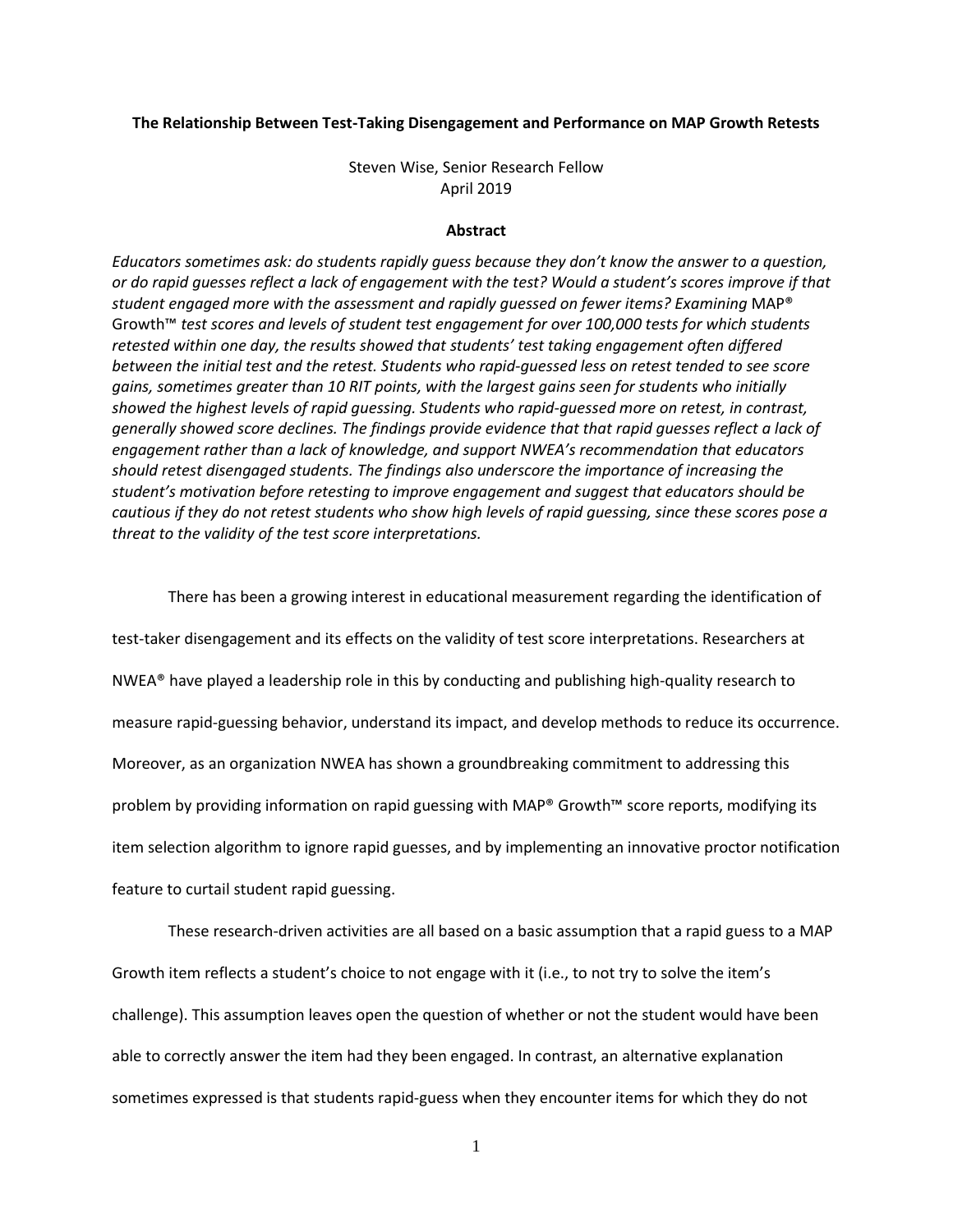#### **The Relationship Between Test-Taking Disengagement and Performance on MAP Growth Retests**

## Steven Wise, Senior Research Fellow April 2019

### **Abstract**

*Educators sometimes ask: do students rapidly guess because they don't know the answer to a question, or do rapid guesses reflect a lack of engagement with the test? Would a student's scores improve if that student engaged more with the assessment and rapidly guessed on fewer items? Examining* MAP® Growth™ *test scores and levels of student test engagement for over 100,000 tests for which students retested within one day, the results showed that students' test taking engagement often differed between the initial test and the retest. Students who rapid-guessed less on retest tended to see score gains, sometimes greater than 10 RIT points, with the largest gains seen for students who initially showed the highest levels of rapid guessing. Students who rapid-guessed more on retest, in contrast, generally showed score declines. The findings provide evidence that that rapid guesses reflect a lack of engagement rather than a lack of knowledge, and support NWEA's recommendation that educators should retest disengaged students. The findings also underscore the importance of increasing the student's motivation before retesting to improve engagement and suggest that educators should be cautious if they do not retest students who show high levels of rapid guessing, since these scores pose a threat to the validity of the test score interpretations.* 

There has been a growing interest in educational measurement regarding the identification of

test-taker disengagement and its effects on the validity of test score interpretations. Researchers at

NWEA® have played a leadership role in this by conducting and publishing high-quality research to

measure rapid-guessing behavior, understand its impact, and develop methods to reduce its occurrence.

Moreover, as an organization NWEA has shown a groundbreaking commitment to addressing this

problem by providing information on rapid guessing with MAP® Growth™ score reports, modifying its

item selection algorithm to ignore rapid guesses, and by implementing an innovative proctor notification

feature to curtail student rapid guessing.

These research-driven activities are all based on a basic assumption that a rapid guess to a MAP Growth item reflects a student's choice to not engage with it (i.e., to not try to solve the item's challenge). This assumption leaves open the question of whether or not the student would have been able to correctly answer the item had they been engaged. In contrast, an alternative explanation sometimes expressed is that students rapid-guess when they encounter items for which they do not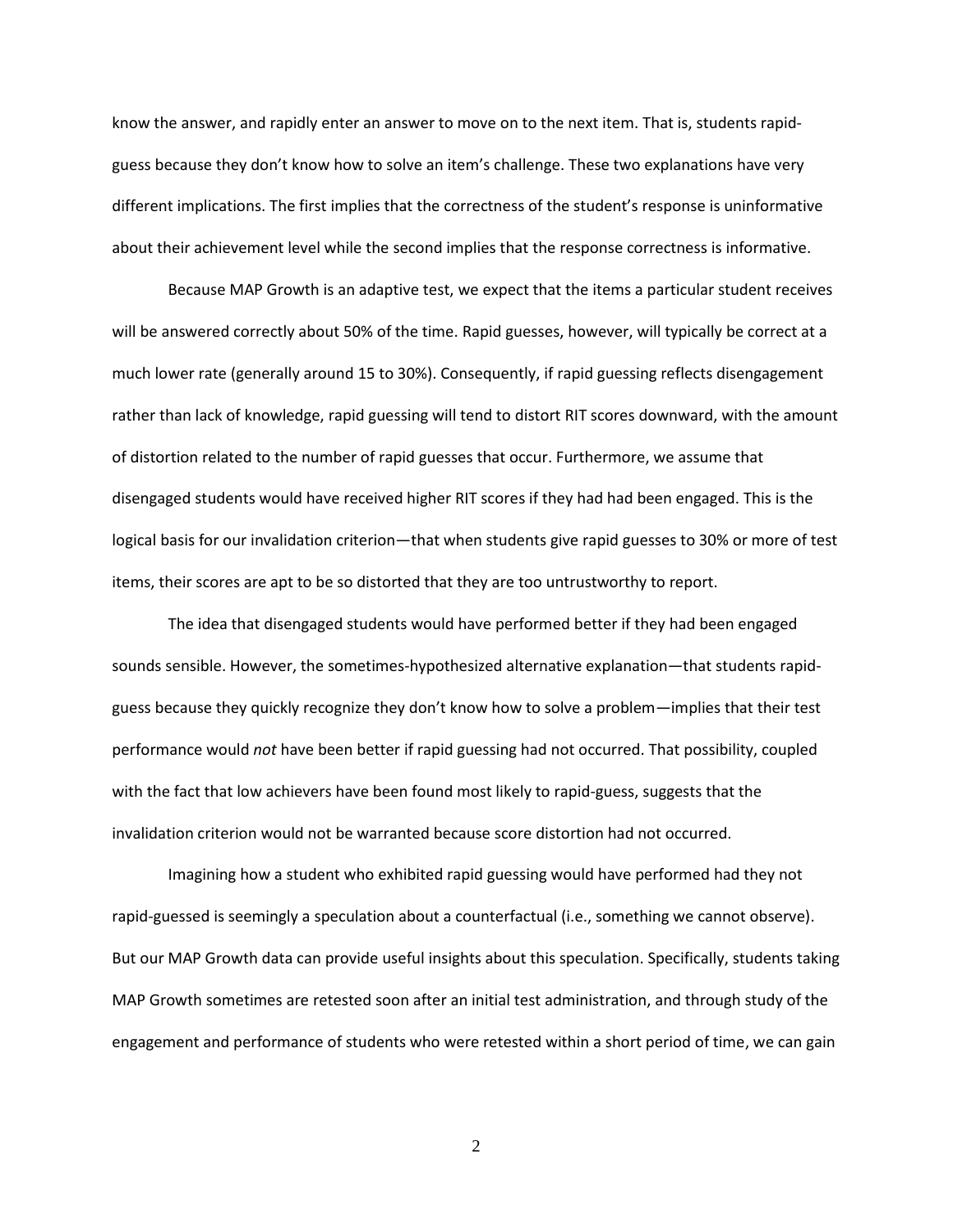know the answer, and rapidly enter an answer to move on to the next item. That is, students rapidguess because they don't know how to solve an item's challenge. These two explanations have very different implications. The first implies that the correctness of the student's response is uninformative about their achievement level while the second implies that the response correctness is informative.

Because MAP Growth is an adaptive test, we expect that the items a particular student receives will be answered correctly about 50% of the time. Rapid guesses, however, will typically be correct at a much lower rate (generally around 15 to 30%). Consequently, if rapid guessing reflects disengagement rather than lack of knowledge, rapid guessing will tend to distort RIT scores downward, with the amount of distortion related to the number of rapid guesses that occur. Furthermore, we assume that disengaged students would have received higher RIT scores if they had had been engaged. This is the logical basis for our invalidation criterion—that when students give rapid guesses to 30% or more of test items, their scores are apt to be so distorted that they are too untrustworthy to report.

The idea that disengaged students would have performed better if they had been engaged sounds sensible. However, the sometimes-hypothesized alternative explanation—that students rapidguess because they quickly recognize they don't know how to solve a problem—implies that their test performance would *not* have been better if rapid guessing had not occurred. That possibility, coupled with the fact that low achievers have been found most likely to rapid-guess, suggests that the invalidation criterion would not be warranted because score distortion had not occurred.

Imagining how a student who exhibited rapid guessing would have performed had they not rapid-guessed is seemingly a speculation about a counterfactual (i.e., something we cannot observe). But our MAP Growth data can provide useful insights about this speculation. Specifically, students taking MAP Growth sometimes are retested soon after an initial test administration, and through study of the engagement and performance of students who were retested within a short period of time, we can gain

2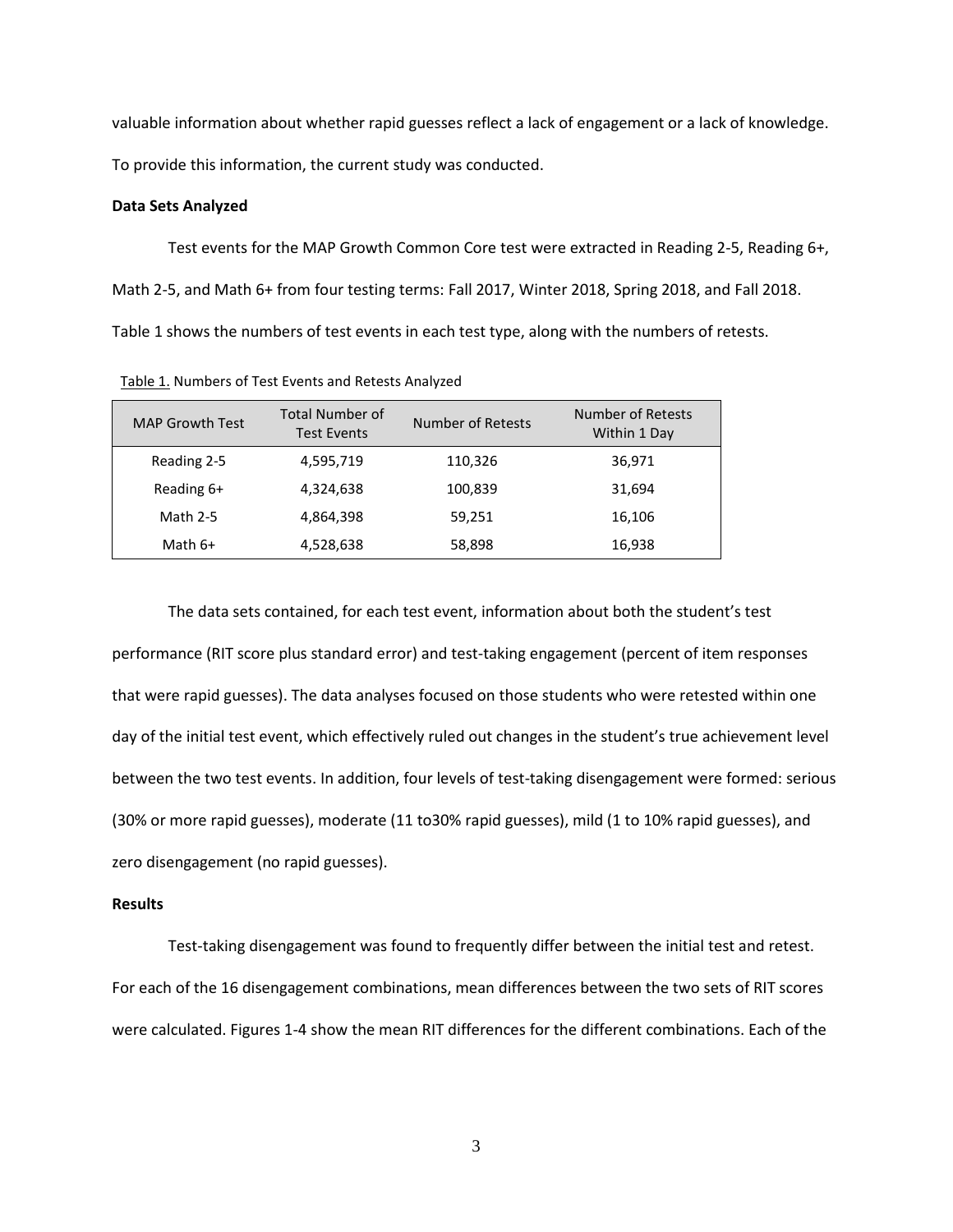valuable information about whether rapid guesses reflect a lack of engagement or a lack of knowledge.

To provide this information, the current study was conducted.

### **Data Sets Analyzed**

Test events for the MAP Growth Common Core test were extracted in Reading 2-5, Reading 6+, Math 2-5, and Math 6+ from four testing terms: Fall 2017, Winter 2018, Spring 2018, and Fall 2018. Table 1 shows the numbers of test events in each test type, along with the numbers of retests.

Table 1. Numbers of Test Events and Retests Analyzed

| <b>MAP Growth Test</b> | <b>Total Number of</b><br><b>Test Events</b> | Number of Retests | Number of Retests<br>Within 1 Day |
|------------------------|----------------------------------------------|-------------------|-----------------------------------|
| Reading 2-5            | 4,595,719                                    | 110,326           | 36,971                            |
| Reading 6+             | 4,324,638                                    | 100,839           | 31,694                            |
| Math 2-5               | 4,864,398                                    | 59,251            | 16,106                            |
| Math $6+$              | 4,528,638                                    | 58,898            | 16,938                            |

The data sets contained, for each test event, information about both the student's test performance (RIT score plus standard error) and test-taking engagement (percent of item responses that were rapid guesses). The data analyses focused on those students who were retested within one day of the initial test event, which effectively ruled out changes in the student's true achievement level between the two test events. In addition, four levels of test-taking disengagement were formed: serious (30% or more rapid guesses), moderate (11 to30% rapid guesses), mild (1 to 10% rapid guesses), and zero disengagement (no rapid guesses).

### **Results**

Test-taking disengagement was found to frequently differ between the initial test and retest. For each of the 16 disengagement combinations, mean differences between the two sets of RIT scores were calculated. Figures 1-4 show the mean RIT differences for the different combinations. Each of the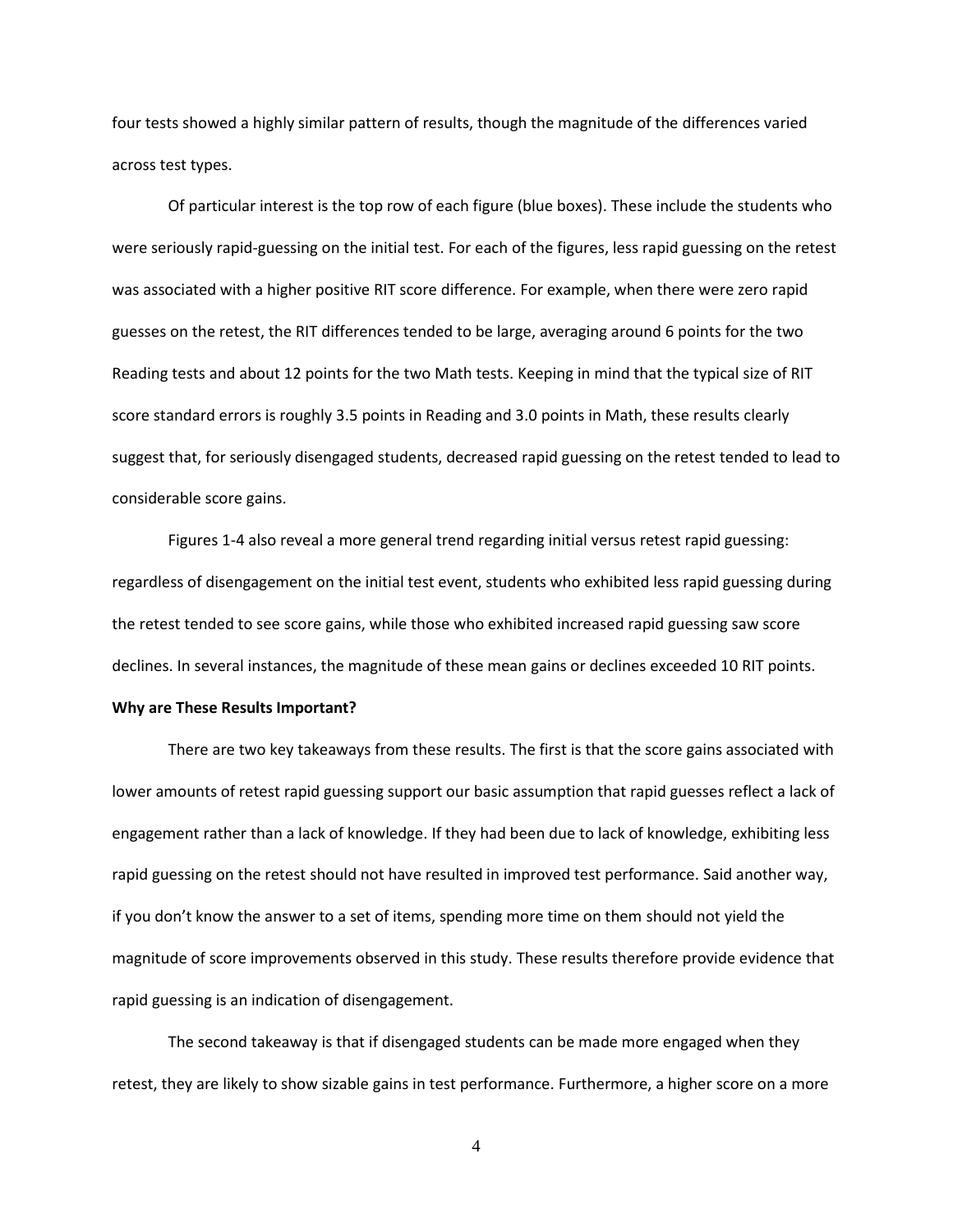four tests showed a highly similar pattern of results, though the magnitude of the differences varied across test types.

Of particular interest is the top row of each figure (blue boxes). These include the students who were seriously rapid-guessing on the initial test. For each of the figures, less rapid guessing on the retest was associated with a higher positive RIT score difference. For example, when there were zero rapid guesses on the retest, the RIT differences tended to be large, averaging around 6 points for the two Reading tests and about 12 points for the two Math tests. Keeping in mind that the typical size of RIT score standard errors is roughly 3.5 points in Reading and 3.0 points in Math, these results clearly suggest that, for seriously disengaged students, decreased rapid guessing on the retest tended to lead to considerable score gains.

Figures 1-4 also reveal a more general trend regarding initial versus retest rapid guessing: regardless of disengagement on the initial test event, students who exhibited less rapid guessing during the retest tended to see score gains, while those who exhibited increased rapid guessing saw score declines. In several instances, the magnitude of these mean gains or declines exceeded 10 RIT points.

#### **Why are These Results Important?**

There are two key takeaways from these results. The first is that the score gains associated with lower amounts of retest rapid guessing support our basic assumption that rapid guesses reflect a lack of engagement rather than a lack of knowledge. If they had been due to lack of knowledge, exhibiting less rapid guessing on the retest should not have resulted in improved test performance. Said another way, if you don't know the answer to a set of items, spending more time on them should not yield the magnitude of score improvements observed in this study. These results therefore provide evidence that rapid guessing is an indication of disengagement.

The second takeaway is that if disengaged students can be made more engaged when they retest, they are likely to show sizable gains in test performance. Furthermore, a higher score on a more

4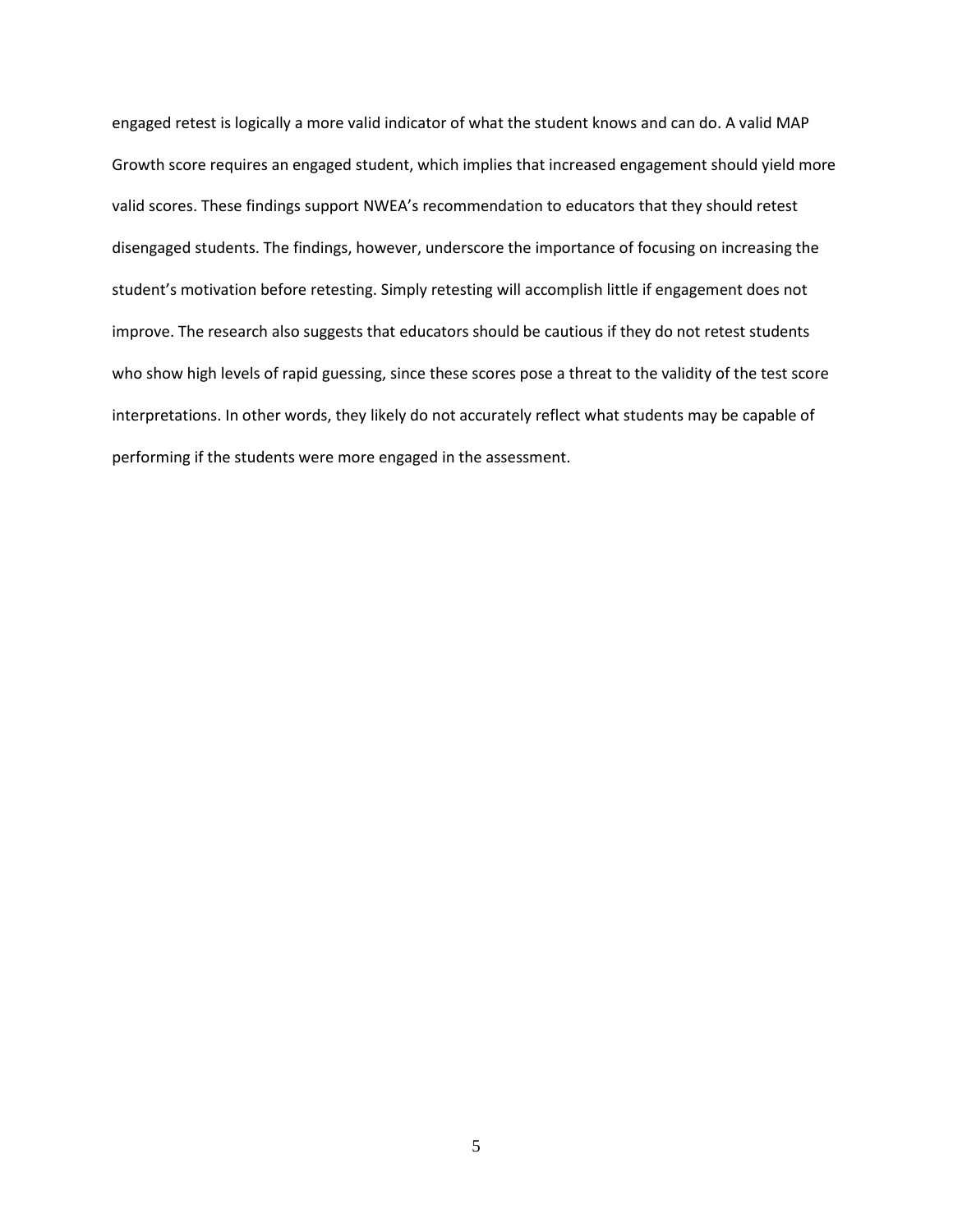engaged retest is logically a more valid indicator of what the student knows and can do. A valid MAP Growth score requires an engaged student, which implies that increased engagement should yield more valid scores. These findings support NWEA's recommendation to educators that they should retest disengaged students. The findings, however, underscore the importance of focusing on increasing the student's motivation before retesting. Simply retesting will accomplish little if engagement does not improve. The research also suggests that educators should be cautious if they do not retest students who show high levels of rapid guessing, since these scores pose a threat to the validity of the test score interpretations. In other words, they likely do not accurately reflect what students may be capable of performing if the students were more engaged in the assessment.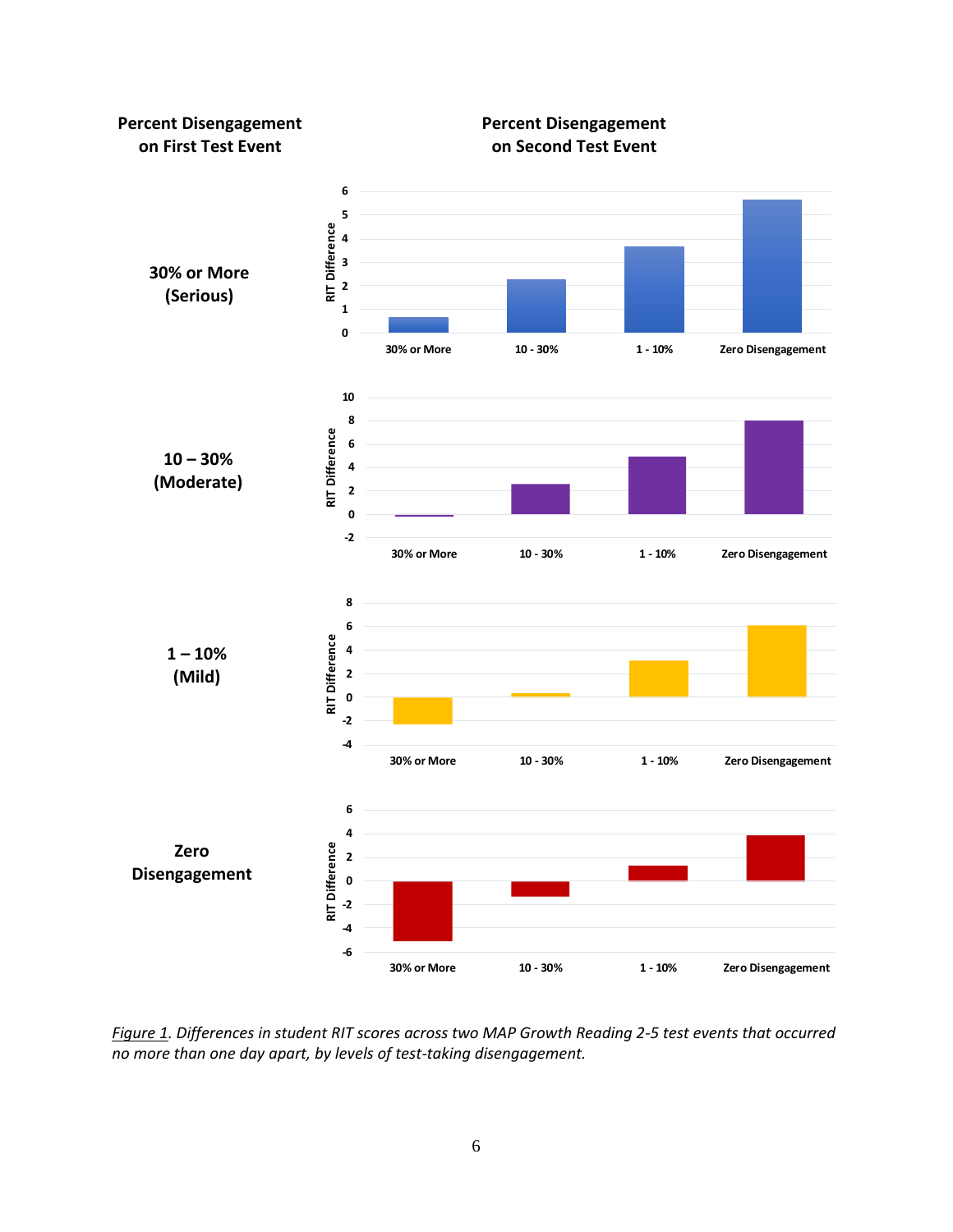

*Figure 1. Differences in student RIT scores across two MAP Growth Reading 2-5 test events that occurred no more than one day apart, by levels of test-taking disengagement.*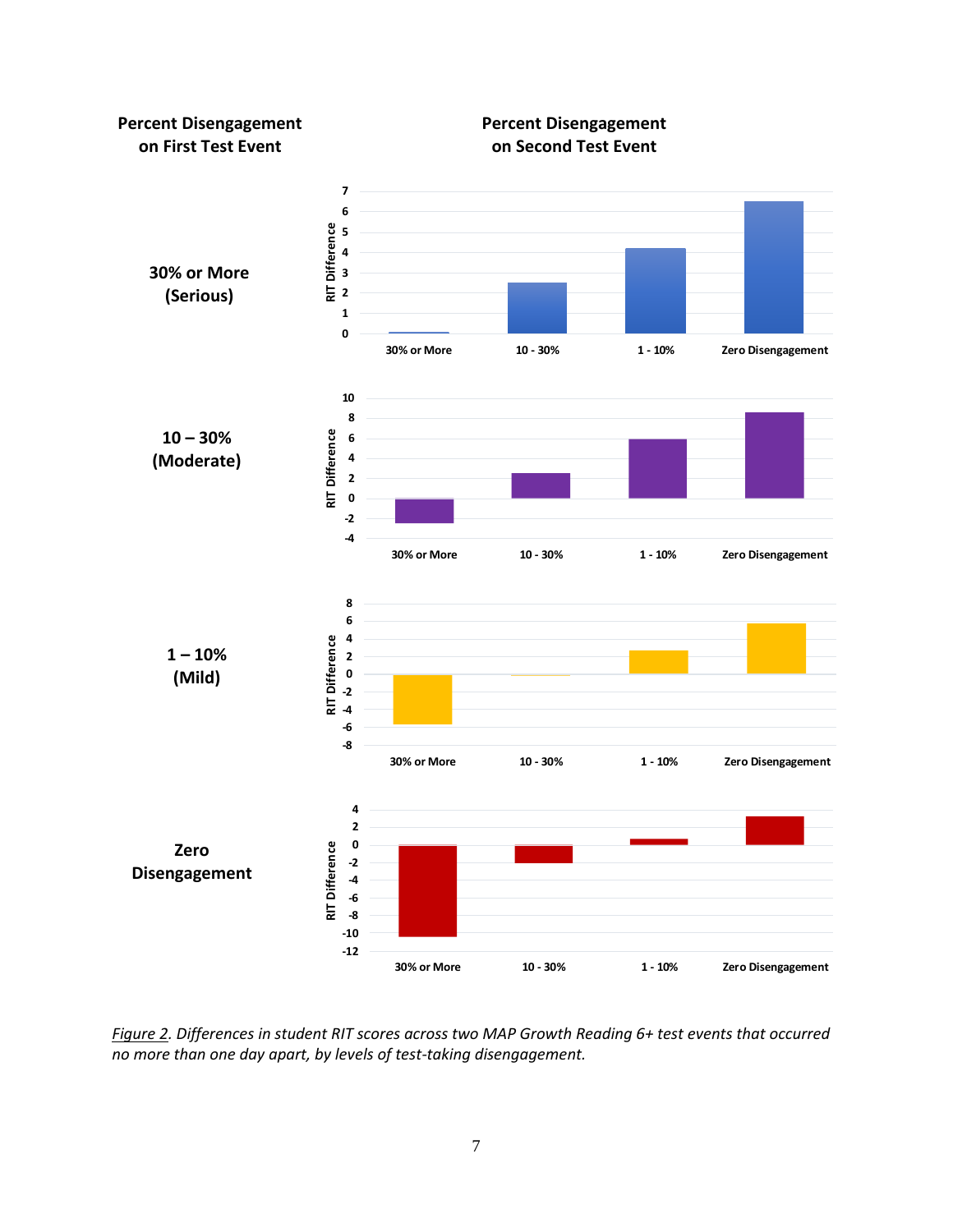

*Figure 2. Differences in student RIT scores across two MAP Growth Reading 6+ test events that occurred no more than one day apart, by levels of test-taking disengagement.*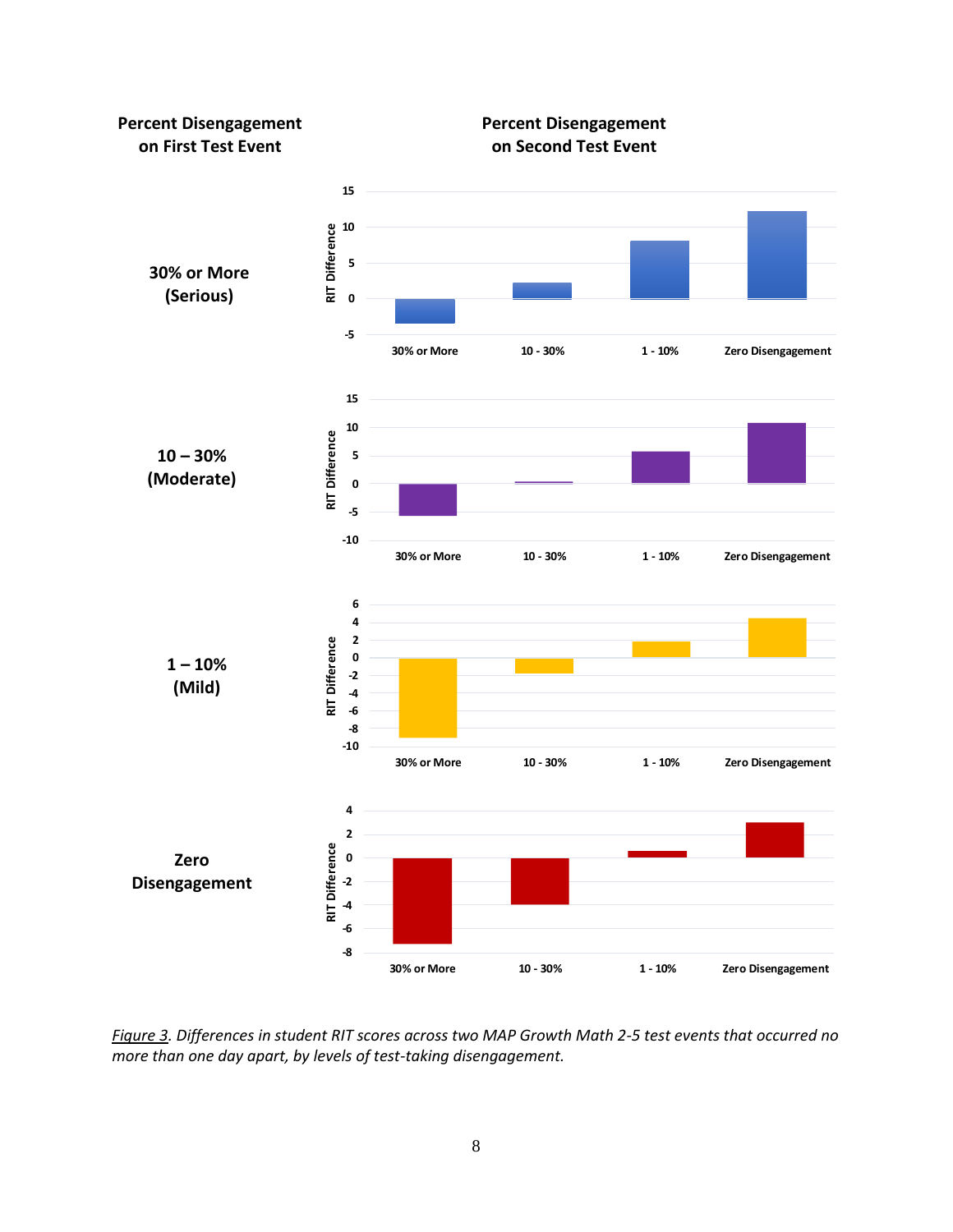

*Figure 3. Differences in student RIT scores across two MAP Growth Math 2-5 test events that occurred no more than one day apart, by levels of test-taking disengagement.*